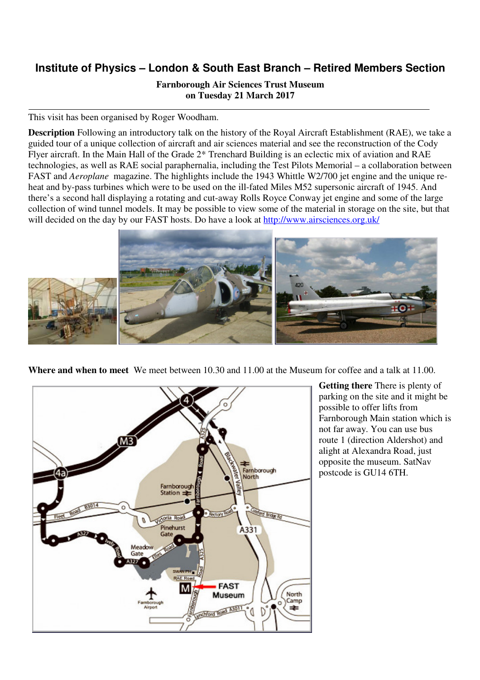## **Institute of Physics – London & South East Branch – Retired Members Section**

**Farnborough Air Sciences Trust Museum on Tuesday 21 March 2017** 

This visit has been organised by Roger Woodham.

**Description** Following an introductory talk on the history of the Royal Aircraft Establishment (RAE), we take a guided tour of a unique collection of aircraft and air sciences material and see the reconstruction of the Cody Flyer aircraft. In the Main Hall of the Grade 2\* Trenchard Building is an eclectic mix of aviation and RAE technologies, as well as RAE social paraphernalia, including the Test Pilots Memorial – a collaboration between FAST and *Aeroplane* magazine. The highlights include the 1943 Whittle W2/700 jet engine and the unique reheat and by-pass turbines which were to be used on the ill-fated Miles M52 supersonic aircraft of 1945. And there's a second hall displaying a rotating and cut-away Rolls Royce Conway jet engine and some of the large collection of wind tunnel models. It may be possible to view some of the material in storage on the site, but that will decided on the day by our FAST hosts. Do have a look at http://www.airsciences.org.uk/



**Where and when to meet** We meet between 10.30 and 11.00 at the Museum for coffee and a talk at 11.00.



**Getting there** There is plenty of parking on the site and it might be possible to offer lifts from Farnborough Main station which is not far away. You can use bus route 1 (direction Aldershot) and alight at Alexandra Road, just opposite the museum. SatNav postcode is GU14 6TH.